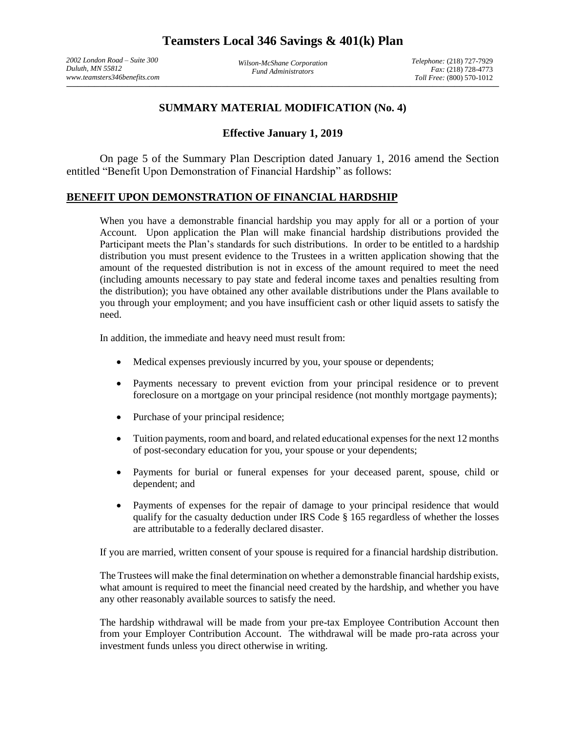*2002 London Road – Suite 300 Duluth, MN 55812 www.teamsters346benefits.com*

*Wilson-McShane Corporation Fund Administrators*

 $\frac{1}{2}$  and the set of the set of the set of the set of the set of the set of the set of the set of the set of the set of the set of the set of the set of the set of the set of the set of the set of the set of the set o *Telephone:* (218) 727-7929 *Fax:* (218) 728-4773 *Toll Free:* (800) 570-1012

## **SUMMARY MATERIAL MODIFICATION (No. 4)**

## **Effective January 1, 2019**

On page 5 of the Summary Plan Description dated January 1, 2016 amend the Section entitled "Benefit Upon Demonstration of Financial Hardship" as follows:

## **BENEFIT UPON DEMONSTRATION OF FINANCIAL HARDSHIP**

When you have a demonstrable financial hardship you may apply for all or a portion of your Account. Upon application the Plan will make financial hardship distributions provided the Participant meets the Plan's standards for such distributions. In order to be entitled to a hardship distribution you must present evidence to the Trustees in a written application showing that the amount of the requested distribution is not in excess of the amount required to meet the need (including amounts necessary to pay state and federal income taxes and penalties resulting from the distribution); you have obtained any other available distributions under the Plans available to you through your employment; and you have insufficient cash or other liquid assets to satisfy the need.

In addition, the immediate and heavy need must result from:

- Medical expenses previously incurred by you, your spouse or dependents;
- Payments necessary to prevent eviction from your principal residence or to prevent foreclosure on a mortgage on your principal residence (not monthly mortgage payments);
- Purchase of your principal residence;
- Tuition payments, room and board, and related educational expenses for the next 12 months of post-secondary education for you, your spouse or your dependents;
- Payments for burial or funeral expenses for your deceased parent, spouse, child or dependent; and
- Payments of expenses for the repair of damage to your principal residence that would qualify for the casualty deduction under IRS Code § 165 regardless of whether the losses are attributable to a federally declared disaster.

If you are married, written consent of your spouse is required for a financial hardship distribution.

The Trustees will make the final determination on whether a demonstrable financial hardship exists, what amount is required to meet the financial need created by the hardship, and whether you have any other reasonably available sources to satisfy the need.

The hardship withdrawal will be made from your pre-tax Employee Contribution Account then from your Employer Contribution Account. The withdrawal will be made pro-rata across your investment funds unless you direct otherwise in writing.